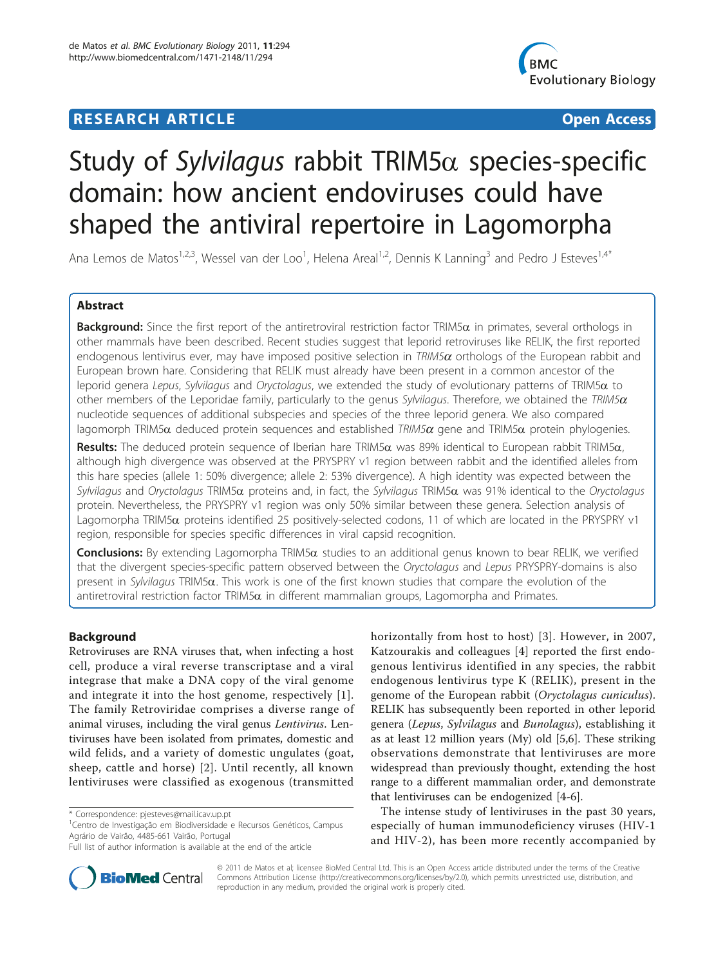# **RESEARCH ARTICLE External Structure Control** Company of the Open Access



# Study of Sylvilagus rabbit TRIM5 $\alpha$  species-specific domain: how ancient endoviruses could have shaped the antiviral repertoire in Lagomorpha

Ana Lemos de Matos<sup>1,2,3</sup>, Wessel van der Loo<sup>1</sup>, Helena Areal<sup>1,2</sup>, Dennis K Lanning<sup>3</sup> and Pedro J Esteves<sup>1,4\*</sup>

# Abstract

**Background:** Since the first report of the antiretroviral restriction factor TRIM5 $\alpha$  in primates, several orthologs in other mammals have been described. Recent studies suggest that leporid retroviruses like RELIK, the first reported endogenous lentivirus ever, may have imposed positive selection in  $TRIM5\alpha$  orthologs of the European rabbit and European brown hare. Considering that RELIK must already have been present in a common ancestor of the leporid genera Lepus, Sylvilagus and Oryctolagus, we extended the study of evolutionary patterns of TRIM5 $\alpha$  to other members of the Leporidae family, particularly to the genus Sylvilagus. Therefore, we obtained the TRIM5 $\alpha$ nucleotide sequences of additional subspecies and species of the three leporid genera. We also compared lagomorph TRIM5 $\alpha$  deduced protein sequences and established TRIM5 $\alpha$  gene and TRIM5 $\alpha$  protein phylogenies.

Results: The deduced protein sequence of Iberian hare TRIM5 $\alpha$  was 89% identical to European rabbit TRIM5 $\alpha$ , although high divergence was observed at the PRYSPRY v1 region between rabbit and the identified alleles from this hare species (allele 1: 50% divergence; allele 2: 53% divergence). A high identity was expected between the Sylvilagus and Oryctolagus TRIM5 $\alpha$  proteins and, in fact, the Sylvilagus TRIM5 $\alpha$  was 91% identical to the Oryctolagus protein. Nevertheless, the PRYSPRY v1 region was only 50% similar between these genera. Selection analysis of Lagomorpha TRIM5a proteins identified 25 positively-selected codons, 11 of which are located in the PRYSPRY v1 region, responsible for species specific differences in viral capsid recognition.

**Conclusions:** By extending Lagomorpha TRIM5 $\alpha$  studies to an additional genus known to bear RELIK, we verified that the divergent species-specific pattern observed between the Oryctolagus and Lepus PRYSPRY-domains is also present in Sylvilagus TRIM5 $\alpha$ . This work is one of the first known studies that compare the evolution of the antiretroviral restriction factor TRIM5 $\alpha$  in different mammalian groups, Lagomorpha and Primates.

# Background

Retroviruses are RNA viruses that, when infecting a host cell, produce a viral reverse transcriptase and a viral integrase that make a DNA copy of the viral genome and integrate it into the host genome, respectively [[1](#page-9-0)]. The family Retroviridae comprises a diverse range of animal viruses, including the viral genus Lentivirus. Lentiviruses have been isolated from primates, domestic and wild felids, and a variety of domestic ungulates (goat, sheep, cattle and horse) [\[2\]](#page-9-0). Until recently, all known lentiviruses were classified as exogenous (transmitted

horizontally from host to host) [[3\]](#page-9-0). However, in 2007, Katzourakis and colleagues [\[4](#page-9-0)] reported the first endogenous lentivirus identified in any species, the rabbit endogenous lentivirus type K (RELIK), present in the genome of the European rabbit (Oryctolagus cuniculus). RELIK has subsequently been reported in other leporid genera (Lepus, Sylvilagus and Bunolagus), establishing it as at least 12 million years (My) old [[5,6\]](#page-9-0). These striking observations demonstrate that lentiviruses are more widespread than previously thought, extending the host range to a different mammalian order, and demonstrate that lentiviruses can be endogenized [\[4](#page-9-0)-[6\]](#page-9-0).

The intense study of lentiviruses in the past 30 years, especially of human immunodeficiency viruses (HIV-1 and HIV-2), has been more recently accompanied by



© 2011 de Matos et al; licensee BioMed Central Ltd. This is an Open Access article distributed under the terms of the Creative Commons Attribution License [\(http://creativecommons.org/licenses/by/2.0](http://creativecommons.org/licenses/by/2.0)), which permits unrestricted use, distribution, and reproduction in any medium, provided the original work is properly cited.

<sup>\*</sup> Correspondence: [pjesteves@mail.icav.up.pt](mailto:pjesteves@mail.icav.up.pt)

<sup>&</sup>lt;sup>1</sup>Centro de Investigação em Biodiversidade e Recursos Genéticos, Campus Agrário de Vairão, 4485-661 Vairão, Portugal

Full list of author information is available at the end of the article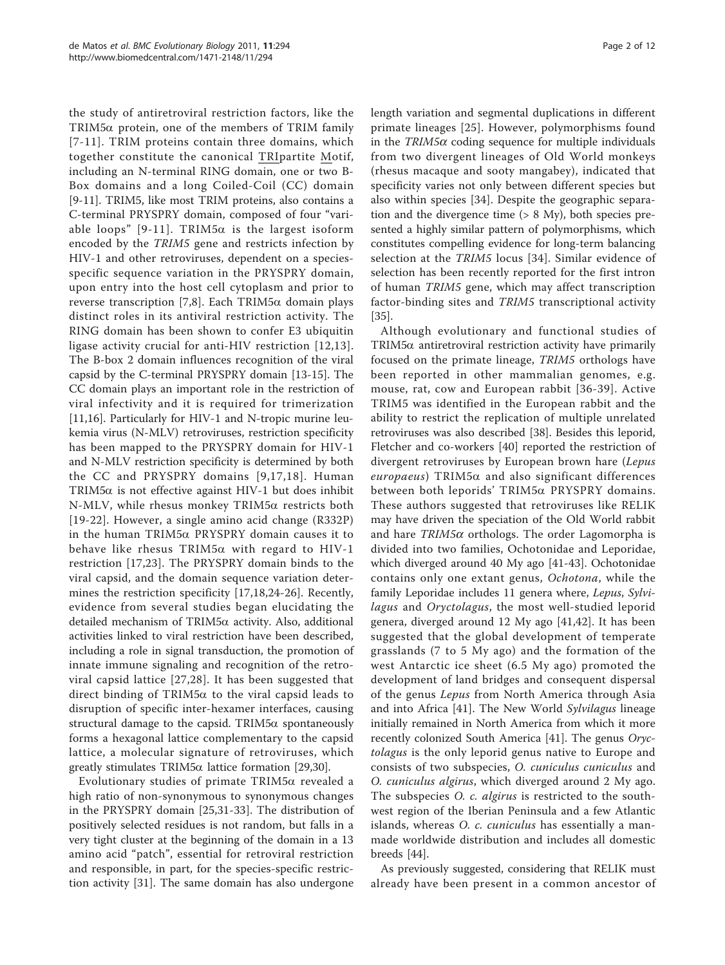the study of antiretroviral restriction factors, like the TRIM5a protein, one of the members of TRIM family [[7-11\]](#page-9-0). TRIM proteins contain three domains, which together constitute the canonical TRIpartite Motif, including an N-terminal RING domain, one or two B-Box domains and a long Coiled-Coil (CC) domain [[9-11](#page-9-0)]. TRIM5, like most TRIM proteins, also contains a C-terminal PRYSPRY domain, composed of four "vari-able loops" [[9-11](#page-9-0)]. TRIM5 $\alpha$  is the largest isoform encoded by the TRIM5 gene and restricts infection by HIV-1 and other retroviruses, dependent on a speciesspecific sequence variation in the PRYSPRY domain, upon entry into the host cell cytoplasm and prior to reverse transcription [\[7](#page-9-0),[8\]](#page-9-0). Each TRIM5 $\alpha$  domain plays distinct roles in its antiviral restriction activity. The RING domain has been shown to confer E3 ubiquitin ligase activity crucial for anti-HIV restriction [[12](#page-10-0),[13\]](#page-10-0). The B-box 2 domain influences recognition of the viral capsid by the C-terminal PRYSPRY domain [[13](#page-10-0)-[15\]](#page-10-0). The CC domain plays an important role in the restriction of viral infectivity and it is required for trimerization [[11,](#page-9-0)[16\]](#page-10-0). Particularly for HIV-1 and N-tropic murine leukemia virus (N-MLV) retroviruses, restriction specificity has been mapped to the PRYSPRY domain for HIV-1 and N-MLV restriction specificity is determined by both the CC and PRYSPRY domains [[9](#page-9-0),[17,18](#page-10-0)]. Human TRIM5 $\alpha$  is not effective against HIV-1 but does inhibit N-MLV, while rhesus monkey TRIM5a restricts both [[19](#page-10-0)-[22](#page-10-0)]. However, a single amino acid change (R332P) in the human TRIM5a PRYSPRY domain causes it to behave like rhesus TRIM5 $\alpha$  with regard to HIV-1 restriction [[17](#page-10-0),[23\]](#page-10-0). The PRYSPRY domain binds to the viral capsid, and the domain sequence variation determines the restriction specificity [[17,18,24](#page-10-0)-[26\]](#page-10-0). Recently, evidence from several studies began elucidating the detailed mechanism of TRIM5a activity. Also, additional activities linked to viral restriction have been described, including a role in signal transduction, the promotion of innate immune signaling and recognition of the retroviral capsid lattice [\[27,28\]](#page-10-0). It has been suggested that direct binding of TRIM5 $\alpha$  to the viral capsid leads to disruption of specific inter-hexamer interfaces, causing structural damage to the capsid. TRIM5 $\alpha$  spontaneously forms a hexagonal lattice complementary to the capsid lattice, a molecular signature of retroviruses, which greatly stimulates  $TRIM5\alpha$  lattice formation [[29,30\]](#page-10-0).

Evolutionary studies of primate TRIM5a revealed a high ratio of non-synonymous to synonymous changes in the PRYSPRY domain [[25](#page-10-0),[31-33](#page-10-0)]. The distribution of positively selected residues is not random, but falls in a very tight cluster at the beginning of the domain in a 13 amino acid "patch", essential for retroviral restriction and responsible, in part, for the species-specific restriction activity [[31\]](#page-10-0). The same domain has also undergone length variation and segmental duplications in different primate lineages [[25](#page-10-0)]. However, polymorphisms found in the  $TRIM5\alpha$  coding sequence for multiple individuals from two divergent lineages of Old World monkeys (rhesus macaque and sooty mangabey), indicated that specificity varies not only between different species but also within species [[34\]](#page-10-0). Despite the geographic separation and the divergence time (> 8 My), both species presented a highly similar pattern of polymorphisms, which constitutes compelling evidence for long-term balancing selection at the TRIM5 locus [[34](#page-10-0)]. Similar evidence of selection has been recently reported for the first intron of human TRIM5 gene, which may affect transcription factor-binding sites and TRIM5 transcriptional activity [[35\]](#page-10-0).

Although evolutionary and functional studies of TRIM5 $\alpha$  antiretroviral restriction activity have primarily focused on the primate lineage, TRIM5 orthologs have been reported in other mammalian genomes, e.g. mouse, rat, cow and European rabbit [[36](#page-10-0)-[39](#page-10-0)]. Active TRIM5 was identified in the European rabbit and the ability to restrict the replication of multiple unrelated retroviruses was also described [\[38](#page-10-0)]. Besides this leporid, Fletcher and co-workers [[40\]](#page-10-0) reported the restriction of divergent retroviruses by European brown hare (Lepus  $\textit{europaeus}$ ) TRIM5 $\alpha$  and also significant differences between both leporids' TRIM5a PRYSPRY domains. These authors suggested that retroviruses like RELIK may have driven the speciation of the Old World rabbit and hare  $TRIM5\alpha$  orthologs. The order Lagomorpha is divided into two families, Ochotonidae and Leporidae, which diverged around 40 My ago [[41-43](#page-10-0)]. Ochotonidae contains only one extant genus, Ochotona, while the family Leporidae includes 11 genera where, Lepus, Sylvilagus and Oryctolagus, the most well-studied leporid genera, diverged around 12 My ago [[41,42](#page-10-0)]. It has been suggested that the global development of temperate grasslands (7 to 5 My ago) and the formation of the west Antarctic ice sheet (6.5 My ago) promoted the development of land bridges and consequent dispersal of the genus Lepus from North America through Asia and into Africa [[41\]](#page-10-0). The New World Sylvilagus lineage initially remained in North America from which it more recently colonized South America [\[41\]](#page-10-0). The genus Oryctolagus is the only leporid genus native to Europe and consists of two subspecies, O. cuniculus cuniculus and O. cuniculus algirus, which diverged around 2 My ago. The subspecies *O. c. algirus* is restricted to the southwest region of the Iberian Peninsula and a few Atlantic islands, whereas *O. c. cuniculus* has essentially a manmade worldwide distribution and includes all domestic breeds [[44](#page-10-0)].

As previously suggested, considering that RELIK must already have been present in a common ancestor of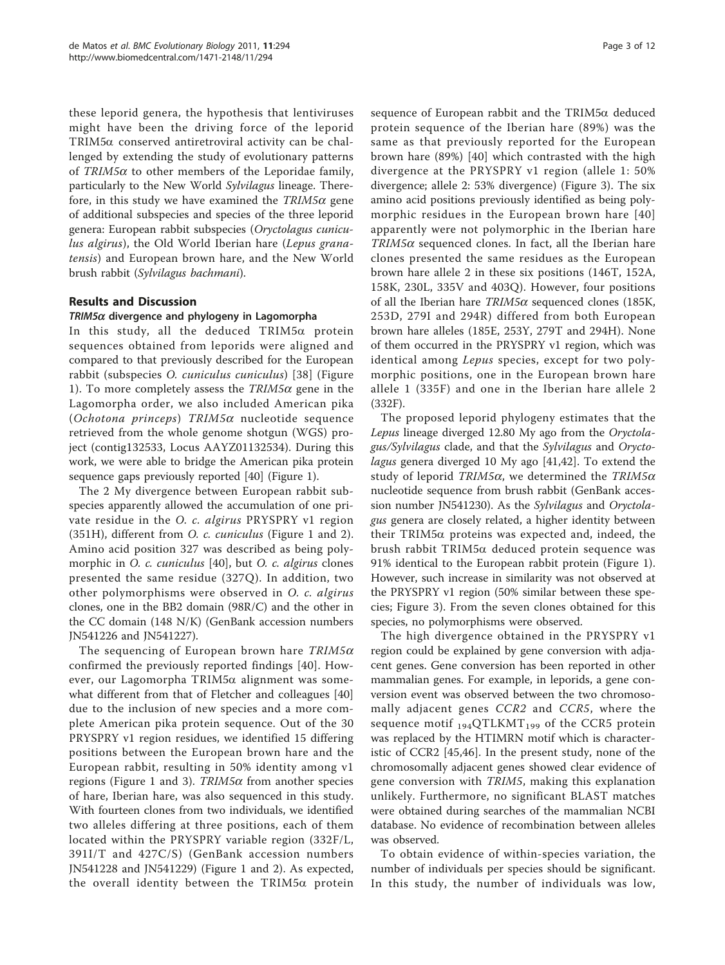these leporid genera, the hypothesis that lentiviruses might have been the driving force of the leporid TRIM5a conserved antiretroviral activity can be challenged by extending the study of evolutionary patterns of  $TRIM5\alpha$  to other members of the Leporidae family, particularly to the New World Sylvilagus lineage. Therefore, in this study we have examined the  $TRIM5\alpha$  gene of additional subspecies and species of the three leporid genera: European rabbit subspecies (Oryctolagus cuniculus algirus), the Old World Iberian hare (Lepus granatensis) and European brown hare, and the New World brush rabbit (Sylvilagus bachmani).

# Results and Discussion

#### $TRIM5\alpha$  divergence and phylogeny in Lagomorpha

In this study, all the deduced TRIM5a protein sequences obtained from leporids were aligned and compared to that previously described for the European rabbit (subspecies O. cuniculus cuniculus) [[38\]](#page-10-0) (Figure [1\)](#page-3-0). To more completely assess the  $TRIM5\alpha$  gene in the Lagomorpha order, we also included American pika (Ochotona princeps) TRIM5 $\alpha$  nucleotide sequence retrieved from the whole genome shotgun (WGS) project (contig132533, Locus AAYZ01132534). During this work, we were able to bridge the American pika protein sequence gaps previously reported [[40\]](#page-10-0) (Figure [1\)](#page-3-0).

The 2 My divergence between European rabbit subspecies apparently allowed the accumulation of one private residue in the O. c. algirus PRYSPRY v1 region (351H), different from O. c. cuniculus (Figure [1](#page-3-0) and [2](#page-4-0)). Amino acid position 327 was described as being polymorphic in *O. c. cuniculus* [[40\]](#page-10-0), but *O. c. algirus* clones presented the same residue (327Q). In addition, two other polymorphisms were observed in O. c. algirus clones, one in the BB2 domain (98R/C) and the other in the CC domain (148 N/K) (GenBank accession numbers [JN541226](http://www.ncbi.nih.gov/entrez/query.fcgi?db=Nucleotide&cmd=search&term=JN541226) and [JN541227\)](http://www.ncbi.nih.gov/entrez/query.fcgi?db=Nucleotide&cmd=search&term=JN541227).

The sequencing of European brown hare  $TRIM5\alpha$ confirmed the previously reported findings [[40\]](#page-10-0). However, our Lagomorpha TRIM5a alignment was somewhat different from that of Fletcher and colleagues [\[40](#page-10-0)] due to the inclusion of new species and a more complete American pika protein sequence. Out of the 30 PRYSPRY v1 region residues, we identified 15 differing positions between the European brown hare and the European rabbit, resulting in 50% identity among v1 regions (Figure [1](#page-3-0) and [3\)](#page-4-0).  $TRIM5\alpha$  from another species of hare, Iberian hare, was also sequenced in this study. With fourteen clones from two individuals, we identified two alleles differing at three positions, each of them located within the PRYSPRY variable region (332F/L, 391I/T and 427C/S) (GenBank accession numbers [JN541228](http://www.ncbi.nih.gov/entrez/query.fcgi?db=Nucleotide&cmd=search&term=JN541228) and [JN541229\)](http://www.ncbi.nih.gov/entrez/query.fcgi?db=Nucleotide&cmd=search&term=JN541229) (Figure [1](#page-3-0) and [2](#page-4-0)). As expected, the overall identity between the TRIM5 $\alpha$  protein sequence of European rabbit and the TRIM5 $\alpha$  deduced protein sequence of the Iberian hare (89%) was the same as that previously reported for the European brown hare (89%) [[40\]](#page-10-0) which contrasted with the high divergence at the PRYSPRY v1 region (allele 1: 50% divergence; allele 2: 53% divergence) (Figure [3\)](#page-4-0). The six amino acid positions previously identified as being polymorphic residues in the European brown hare [[40](#page-10-0)] apparently were not polymorphic in the Iberian hare  $TRIM5\alpha$  sequenced clones. In fact, all the Iberian hare clones presented the same residues as the European brown hare allele 2 in these six positions (146T, 152A, 158K, 230L, 335V and 403Q). However, four positions of all the Iberian hare  $TRIM5\alpha$  sequenced clones (185K, 253D, 279I and 294R) differed from both European brown hare alleles (185E, 253Y, 279T and 294H). None of them occurred in the PRYSPRY v1 region, which was identical among Lepus species, except for two polymorphic positions, one in the European brown hare allele 1 (335F) and one in the Iberian hare allele 2 (332F).

The proposed leporid phylogeny estimates that the Lepus lineage diverged 12.80 My ago from the Oryctolagus/Sylvilagus clade, and that the Sylvilagus and Oryctolagus genera diverged 10 My ago [[41,42\]](#page-10-0). To extend the study of leporid TRIM5 $\alpha$ , we determined the TRIM5 $\alpha$ nucleotide sequence from brush rabbit (GenBank accession number [JN541230](http://www.ncbi.nih.gov/entrez/query.fcgi?db=Nucleotide&cmd=search&term=JN541230)). As the Sylvilagus and Oryctolagus genera are closely related, a higher identity between their TRIM5 $\alpha$  proteins was expected and, indeed, the brush rabbit TRIM5a deduced protein sequence was 91% identical to the European rabbit protein (Figure [1](#page-3-0)). However, such increase in similarity was not observed at the PRYSPRY v1 region (50% similar between these species; Figure [3\)](#page-4-0). From the seven clones obtained for this species, no polymorphisms were observed.

The high divergence obtained in the PRYSPRY v1 region could be explained by gene conversion with adjacent genes. Gene conversion has been reported in other mammalian genes. For example, in leporids, a gene conversion event was observed between the two chromosomally adjacent genes CCR2 and CCR5, where the sequence motif  $_{194}QTLKMT_{199}$  of the CCR5 protein was replaced by the HTIMRN motif which is characteristic of CCR2 [[45,46](#page-10-0)]. In the present study, none of the chromosomally adjacent genes showed clear evidence of gene conversion with TRIM5, making this explanation unlikely. Furthermore, no significant BLAST matches were obtained during searches of the mammalian NCBI database. No evidence of recombination between alleles was observed.

To obtain evidence of within-species variation, the number of individuals per species should be significant. In this study, the number of individuals was low,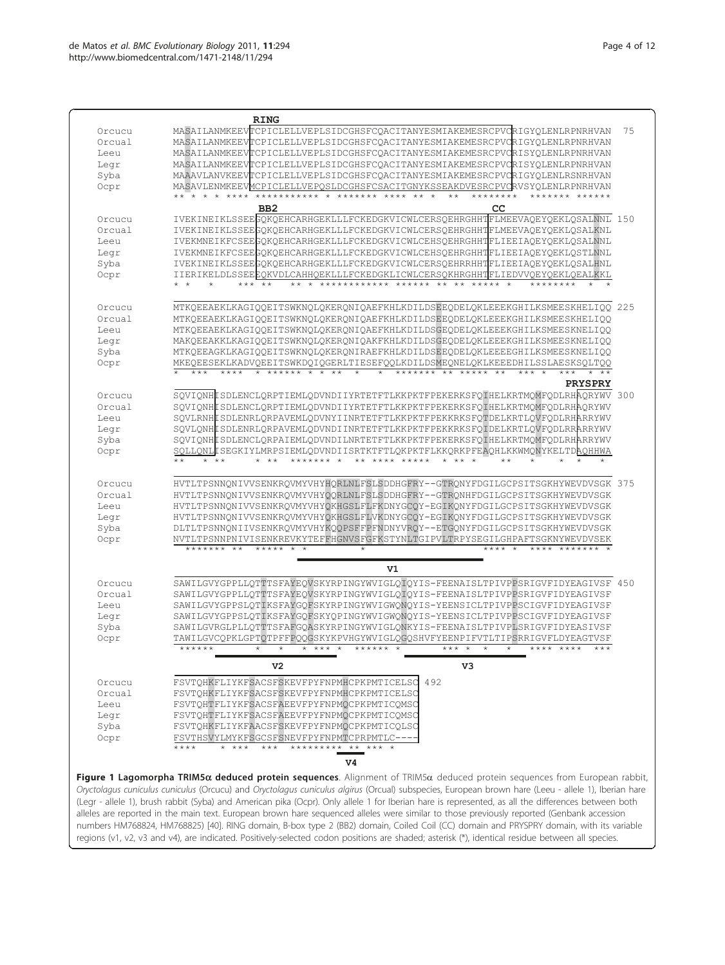<span id="page-3-0"></span>

| Orcucu | <b>RING</b><br>MASAILANMKEEVTCPICLELLVEPLSIDCGHSFCQACITANYESMIAKEMESRCPVCRIGYQLENLRPNRHVAN                                                           | 75 |
|--------|------------------------------------------------------------------------------------------------------------------------------------------------------|----|
| Orcual | MASAILANMKEEVTCPICLELLVEPLSIDCGHSFCQACITANYESMIAKEMESRCPVCRIGYQLENLRPNRHVAN                                                                          |    |
| Leeu   | MASAILANMKEEVTCPICLELLVEPLSIDCGHSFCQACITANYESMIAKEMESRCPVCRISYQLENLRPNRHVAN                                                                          |    |
| Leqr   | MASAILANMKEEVTCPICLELLVEPLSIDCGHSFCQACITANYESMIAKEMESRCPVCRISYQLENLRPNRHVAN                                                                          |    |
| Syba   | MAAAVLANVKEEVTCPICLELLVEPLSIDCGHSFCQACITANYESMIAKEMESRCPVCRIGYQLENLRSNRHVAN                                                                          |    |
| Ocpr   | MASAVLENMKEEVMCPICLELLVEPOSLDCGHSFCSACITGNYKSSEAKDVESRCPVCRVSYOLENLRPNRHVAN                                                                          |    |
|        | *********** * ******* ****<br>$\star\star$<br>$\star$<br>$\star$ $\star$<br>$\star$ $\star$ $\star$ $\star$ $\star$<br>********                      |    |
|        | CC<br>B <sub>B2</sub>                                                                                                                                |    |
| Orcucu | IVEKINEIKLSSEEGQKQEHCARHGEKLLLFCKEDGKVICWLCERSQEHRGHHTFLMEEVAQEYQEKLQSALNNL 150                                                                      |    |
| Orcual | IVEKINEIKLSSEEGQKQEHCARHGEKLLLFCKEDGKVICWLCERSQEHRGHHTFLMEEVAQEYQEKLQSALKNL                                                                          |    |
| Leeu   | IVEKMNEIKFCSEEGQKQEHCARHGEKLLLFCKEDGKVICWLCEHSQEHRGHHTFLIEEIAQEYQEKLQSALNNL                                                                          |    |
| Legr   | IVEKMNEIKFCSEEGOKOEHCARHGEKLLLFCKEDGKVICWLCEHSOEHRGHHTFLIEEIAOEYOEKLOSTLNNL                                                                          |    |
| Syba   | IVEKINEIKLSSEEGQKQEHCARHGEKLLLFCKEDGKVICWLCERSQEHRRHHTFLIEEIAQEYQEKLQSALHNL                                                                          |    |
| Ocpr   | IIERIKELDLSSEEEQKVDLCAHHQEKLLLFCKEDGKLICWLCERSQKHRGHHTFLIEDVVQEYQEKLQEALKKL                                                                          |    |
|        | ************ ****** ** ** ***** *<br>*** **                                                                                                          |    |
|        |                                                                                                                                                      |    |
| Orcucu | MTKQEEAEKLKAGIQQEITSWKNQLQKERQNIQAEFKHLKDILDSEEQDELQKLEEEKGHILKSMEESKHELIQQ 225                                                                      |    |
| Orcual | MTKQEEAEKLKAGIQQEITSWKNQLQKERQNIQAEFKHLKDILDSEEQDELQKLEEEKGHILKSMEESKHELIQQ                                                                          |    |
| Leeu   | MTKQEEAEKLKAGIQQEITSWKNQLQKERQNIQAEFKHLKDILDSGEQDELQKLEEEKGHILKSMEESKNELIQQ                                                                          |    |
| Legr   | MAKQEEAKKLKAGIQQEITSWKNQLQKERQNIQAKFKHLKDILDSGEQDELQKLEEEKGHILKSMEESKNELIQQ                                                                          |    |
| Syba   | MTKQEEAGKLKAGIQQEITSWKNQLQKERQNIRAEFKHLKDILDSEEQDELQKLEEEEGHILKSMEESKNELIQQ                                                                          |    |
| Ocpr   | MKEQEESEKLKADVQEEITSWKDQIQGERLTIESEFQQLKDILDSMEQNELQKLKEEEDHILSSLAESKSQLTQQ                                                                          |    |
|        | ****** * * **<br>******* ** *****                                                                                                                    |    |
|        | <b>PRYSPRY</b>                                                                                                                                       |    |
| Orcucu | SQVIQNHLSDLENCLQRPTIEMLQDVNDIIYRTETFTLKKPKTFPEKERKSFQIHELKRTMQMFQDLRHAQRYWV 300                                                                      |    |
| Orcual | SQVIQNHESDLENCLQRPTIEMLQDVNDIIYRTETFTLKKPKTFPEKERKSFQIHELKRTMQMFQDLRHAQRYWV                                                                          |    |
| Leeu   | SQVLRNHESDLENRLQRPAVEMLQDVNYIINRTETFTLKKPKTFPEKKRKSFQTDELKRTLQVFQDLRHARRYWV                                                                          |    |
| Legr   | SOVLONHLSDLENRLORPAVEMLODVNDIINRTETFTLKKPKTFPEKKRKSFOIDELKRTLOVFODLRRARRYWV                                                                          |    |
| Syba   | SQVIQNHLSDLENCLQRPAIEMLQDVNDILNRTETFTLKKPKTFPEKERKSFQIHELKRTMQMFQDLRHARRYWV                                                                          |    |
| Ocpr   | SQLLQNLLSEGKIYLMRPSIEMLQDVNDIISRTKTFTLQKPKTFLKKQRKPFEAQHLKKWMQNYKELTDAQHHWA<br>$\star\star$<br>$\star$ $\star$ $\star$<br>******* *<br>** **** ***** |    |
|        |                                                                                                                                                      |    |
| Orcucu | HVTLTPSNNQNIVVSENKRQVMYVHYHQRLNLFSLSDDHGFRY--GTRQNYFDGILGCPSITSGKHYWEVDVSGK 375                                                                      |    |
| Orcual | HVTLTPSNNQNIVVSENKRQVMYVHYQQRLNLFSLSDDHGFRY--GTRQNHFDGILGCPSITSGKHYWEVDVSGK                                                                          |    |
| Leeu   | HVTLTPSNNQNIVVSENKRQVMYVHYQKHGSLFLFKDNYGCQY-EGIKQNYFDGILGCPSITSGKHYWEVDVSGK                                                                          |    |
| Legr   | HVTLTPSNNQNIVVSENKRQVMYVHYQKHGSLFLVKDNYGCQY-EGIKQNYFDGILGCPSITSGKHYWEVDVSGK                                                                          |    |
| Syba   | DLTLTPSNNQNIIVSENKRQVMYVHYKQQPSFFPFNDNYVRQY--ETGQNYFDGILGCPSITSGKHYWEVDVSGK                                                                          |    |
| Ocpr   | NVTLTPSNNPNIVISENKREVKYTEFFHGNVSFGFKSTYNLTGIPVLTRPYSEGILGHPAFTSGKNYWEVDVSEK                                                                          |    |
|        | *******<br>$\star\star$<br>*******                                                                                                                   |    |
|        | V1                                                                                                                                                   |    |
| Orcucu | SAWILGVYGPPLLQTTTSFAYEQVSKYRPINGYWVIGLQIQYIS-FEENAISLTPIVPPSRIGVFIDYEAGIVSF 450                                                                      |    |
| Orcual | SAWILGVYGPPLLQTTTSFAYEQVSKYRPINGYWVIGLQIQYIS-FEENAISLTPIVPPSRIGVFIDYEAGIVSF                                                                          |    |
| Leeu   | SAWILGVYGPPSLOTIKSFAYGOFSKYRPINGYWVIGWONOYIS-YEENSICLTPIVPPSCIGVFIDYEAGIVSF                                                                          |    |
| Legr   | SAWILGVYGPPSLOTIKSFAYGOFSKYOPINGYWVIGWONOYIS-YEENSICLTPIVPPSCIGVFIDYEAGIVSF                                                                          |    |
| Syba   | SAWILGVRGLPLLQTTTSFAFGQASKYRPINGYWVIGLQNKYIS-FEENAISLTPIVPLSRIGVFIDYEASIVSF                                                                          |    |
| Ocpr   | TAWILGVCQPKLGPTQTPFFPQQGSKYKPVHGYWVIGLQGQSHVFYEENPIFVTLTIPSRRIGVFLDYEAGTVSF                                                                          |    |
|        | ******<br>$******$ *<br>$+ + + +$<br>$***$ *<br>$\star$<br>**** ****<br>$\star$                                                                      |    |
|        | V <sub>2</sub><br>v3                                                                                                                                 |    |
| Orcucu | 492<br>FSVTQHKFLIYKFSACSFSKEVFPYFNPMHCPKPMTICELSC                                                                                                    |    |
| Orcual | FSVTQHKFLIYKFSACSFSKEVFPYFNPMHCPKPMTICELSC                                                                                                           |    |
| Leeu   | FSVTQHTFLIYKFSACSFAEEVFPYFNPMQCPKPMTICQMSC                                                                                                           |    |
| Legr   | FSVTQHTFLIYKFSACSFAEEVFPYFNPMQCPKPMTICQMSC                                                                                                           |    |
| Syba   | FSVTQHKFLIYKFAACSFSKEVFPYFNPMQCPKPMTICQLSC                                                                                                           |    |
| Ocpr   | FSVTHSVYLMYKFSGCSFSNEVFPYFNPMTCPRPMTLC-                                                                                                              |    |
|        | $***$ *<br>$\star\star$<br>***<br>*********                                                                                                          |    |
|        |                                                                                                                                                      |    |

s (Orcucu) and *Oryctolagus cuniculus algirus* (Orcual) subspecies, European brown hare ( (Legr - allele 1), brush rabbit (Syba) and American pika (Ocpr). Only allele 1 for Iberian hare is represented, as all the differences between both alleles are reported in the main text. European brown hare sequenced alleles were similar to those previously reported (Genbank accession numbers [HM768824,](http://www.ncbi.nlm.nih.gov/pubmed/768824?dopt=Abstract) [HM768825\)](http://www.ncbi.nlm.nih.gov/pubmed/768825?dopt=Abstract) [\[40](#page-10-0)]. RING domain, B-box type 2 (BB2) domain, Coiled Coil (CC) domain and PRYSPRY domain, with its variable regions (v1, v2, v3 and v4), are indicated. Positively-selected codon positions are shaded; asterisk (\*), identical residue between all species.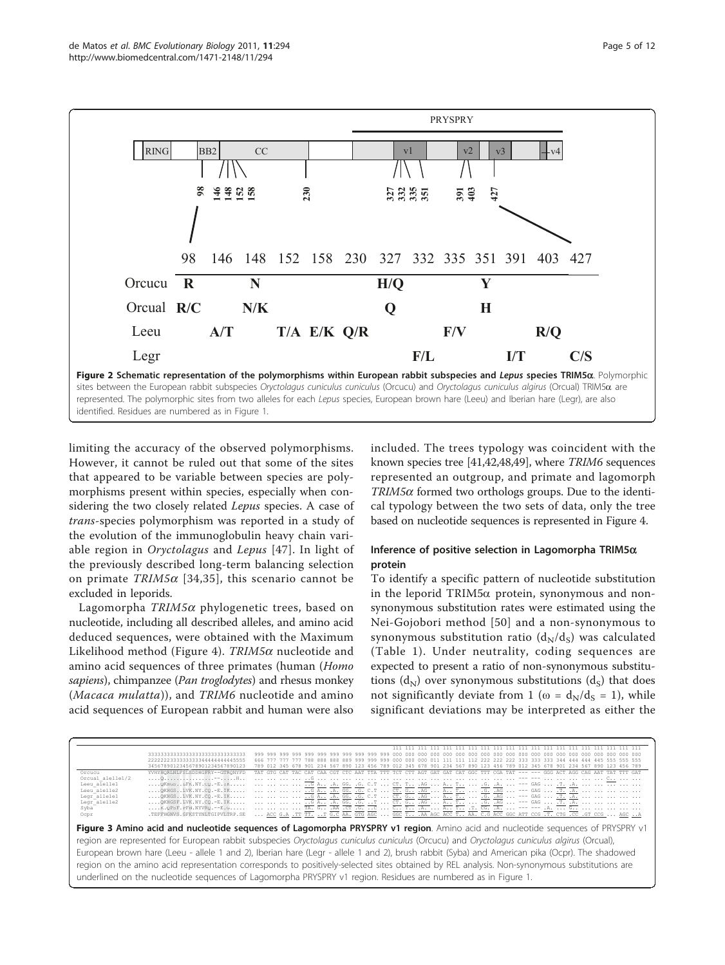<span id="page-4-0"></span>

limiting the accuracy of the observed polymorphisms. However, it cannot be ruled out that some of the sites that appeared to be variable between species are polymorphisms present within species, especially when considering the two closely related Lepus species. A case of trans-species polymorphism was reported in a study of the evolution of the immunoglobulin heavy chain variable region in Oryctolagus and Lepus [\[47\]](#page-10-0). In light of the previously described long-term balancing selection on primate  $TRIM5\alpha$  [[34](#page-10-0),[35](#page-10-0)], this scenario cannot be excluded in leporids.

Lagomorpha  $TRIM5\alpha$  phylogenetic trees, based on nucleotide, including all described alleles, and amino acid deduced sequences, were obtained with the Maximum Likelihood method (Figure [4](#page-5-0)).  $TRIM5\alpha$  nucleotide and amino acid sequences of three primates (human (Homo sapiens), chimpanzee (Pan troglodytes) and rhesus monkey (Macaca mulatta)), and TRIM6 nucleotide and amino acid sequences of European rabbit and human were also included. The trees typology was coincident with the known species tree [[41](#page-10-0),[42,48,49\]](#page-10-0), where TRIM6 sequences represented an outgroup, and primate and lagomorph  $TRIM5\alpha$  formed two orthologs groups. Due to the identical typology between the two sets of data, only the tree based on nucleotide sequences is represented in Figure [4.](#page-5-0)

# Inference of positive selection in Lagomorpha TRIM5 $\alpha$ protein

To identify a specific pattern of nucleotide substitution in the leporid TRIM5 $\alpha$  protein, synonymous and nonsynonymous substitution rates were estimated using the Nei-Gojobori method [[50\]](#page-10-0) and a non-synonymous to synonymous substitution ratio  $(d_N/d_S)$  was calculated (Table [1](#page-5-0)). Under neutrality, coding sequences are expected to present a ratio of non-synonymous substitutions  $(d_N)$  over synonymous substitutions  $(d_S)$  that does not significantly deviate from 1 ( $\omega = d_N/d_S = 1$ ), while significant deviations may be interpreted as either the

|                  | 333333333333333333333333333333  | 999 999 999 999 999 999 999 999 999 999 999 000 000 000 000 000 000 000 000 000 000 000 000 000 000 000 000 000 000 000                        |
|------------------|---------------------------------|------------------------------------------------------------------------------------------------------------------------------------------------|
|                  | 222222233333333344444444445555  |                                                                                                                                                |
|                  | 3456789012345678901234567890123 | 789 012 345 678 901 234 567 890 123 456 789 012 345 678 901 234 567 890 123 456 789 012 345 678 901 234 567 890 123 456 789                    |
| Orcucu           | YVHYHORLNLFSLSDDHGFRY--GTRONYFD | TAT GTG CAT TAC CAT CAA CGT CTC AAT TTA TTT TCT CTT AGT GAT GAT CAT GGC TTT CGA TAT --- --- GGG ACT AGG CAG AAT TAT TTT GAT                    |
| Orcual alellel/2 |                                 |                                                                                                                                                |
| Leeu alellel     |                                 | QKHGS.LEFK.NY.CQ.-E.IK     G A .A. GG. .G. C.T  CT. T .AG  A.   .G. A.  --- GAG  .T. .A.                                                       |
| Leeu alelle2     |                                 |                                                                                                                                                |
| Legr allelel     |                                 | QKHGS.LUVK.NY.CQ.-E.IK     G A .A. GG. .G. C.T  CT. G .AG  R.  .G. .AG  .-F GAG  .T. .A.                                                       |
| Legr alelle2     |                                 |                                                                                                                                                |
| Syba             |                                 | K.QPSF.PFN.NYVRQ.--E.G     TA. G .AA .CT .G. C  C T .A.  T CG. .A.  --- --- .A.  G                                                             |
| Ocpr             |                                 | . TEFFHGNVS.GFKSTYNLTGIPVLTRP.SE  ACC G.A .TT TT. T G.C AA. GTG AGC  GGC T .AA AGC ACC T. . AA. C.G ACC GGC ATT CCG  T. CTG .CC .GT CCG  AGC A |

Figure 3 Amino acid and nucleotide sequences of Lagomorpha PRYSPRY v1 region. Amino acid and nucleotide sequences of PRYSPRY v1 region are represented for European rabbit subspecies Oryctolagus cuniculus cuniculus (Orcucu) and Oryctolagus cuniculus algirus (Orcual), European brown hare (Leeu - allele 1 and 2), Iberian hare (Legr - allele 1 and 2), brush rabbit (Syba) and American pika (Ocpr). The shadowed region on the amino acid representation corresponds to positively-selected sites obtained by REL analysis. Non-synonymous substitutions are underlined on the nucleotide sequences of Lagomorpha PRYSPRY v1 region. Residues are numbered as in Figure 1.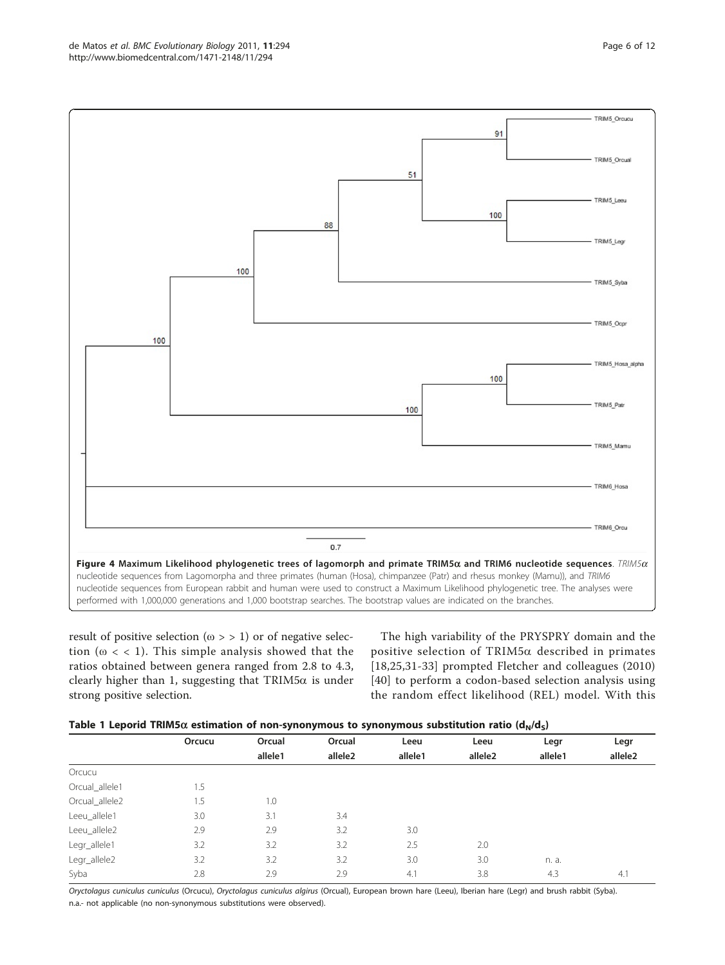<span id="page-5-0"></span>

result of positive selection ( $\omega$  > > 1) or of negative selection ( $\omega$  < < 1). This simple analysis showed that the ratios obtained between genera ranged from 2.8 to 4.3, clearly higher than 1, suggesting that TRIM5 $\alpha$  is under strong positive selection.

The high variability of the PRYSPRY domain and the positive selection of TRIM5a described in primates [[18,25,31](#page-10-0)-[33\]](#page-10-0) prompted Fletcher and colleagues (2010) [[40](#page-10-0)] to perform a codon-based selection analysis using the random effect likelihood (REL) model. With this

|  | Table 1 Leporid TRIM5 $\alpha$ estimation of non-synonymous to synonymous substitution ratio ( $d_N/d_S$ ) |  |  |
|--|------------------------------------------------------------------------------------------------------------|--|--|
|--|------------------------------------------------------------------------------------------------------------|--|--|

| $1.4001$ . Experiments community of field synehimens to synehimens substitution functions $\{M_N, M_N\}$ |        |         |                     |         |                     |         |                     |  |
|----------------------------------------------------------------------------------------------------------|--------|---------|---------------------|---------|---------------------|---------|---------------------|--|
|                                                                                                          | Orcucu | Orcual  | Orcual              | Leeu    | Leeu                | Legr    | Legr                |  |
|                                                                                                          |        | allele1 | allele <sub>2</sub> | allele1 | allele <sub>2</sub> | allele1 | allele <sub>2</sub> |  |
| Orcucu                                                                                                   |        |         |                     |         |                     |         |                     |  |
| Orcual_allele1                                                                                           | 1.5    |         |                     |         |                     |         |                     |  |
| Orcual_allele2                                                                                           | 1.5    | 1.0     |                     |         |                     |         |                     |  |
| Leeu_allele1                                                                                             | 3.0    | 3.1     | 3.4                 |         |                     |         |                     |  |
| Leeu_allele2                                                                                             | 2.9    | 2.9     | 3.2                 | 3.0     |                     |         |                     |  |
| Legr_allele1                                                                                             | 3.2    | 3.2     | 3.2                 | 2.5     | 2.0                 |         |                     |  |
| Legr_allele2                                                                                             | 3.2    | 3.2     | 3.2                 | 3.0     | 3.0                 | n. a.   |                     |  |
| Syba                                                                                                     | 2.8    | 2.9     | 2.9                 | 4.1     | 3.8                 | 4.3     | 4.1                 |  |

Oryctolagus cuniculus cuniculus (Orcucu), Oryctolagus cuniculus algirus (Orcual), European brown hare (Leeu), Iberian hare (Legr) and brush rabbit (Syba). n.a.- not applicable (no non-synonymous substitutions were observed).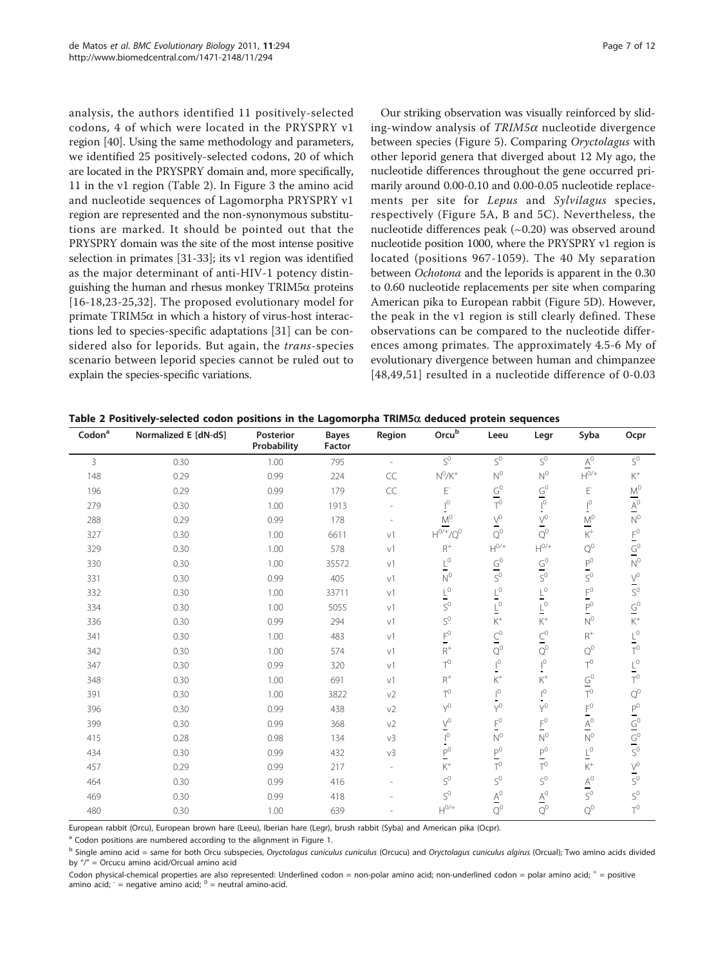analysis, the authors identified 11 positively-selected codons, 4 of which were located in the PRYSPRY v1 region [\[40\]](#page-10-0). Using the same methodology and parameters, we identified 25 positively-selected codons, 20 of which are located in the PRYSPRY domain and, more specifically, 11 in the v1 region (Table 2). In Figure [3](#page-4-0) the amino acid and nucleotide sequences of Lagomorpha PRYSPRY v1 region are represented and the non-synonymous substitutions are marked. It should be pointed out that the PRYSPRY domain was the site of the most intense positive selection in primates [\[31](#page-10-0)-[33\]](#page-10-0); its v1 region was identified as the major determinant of anti-HIV-1 potency distinguishing the human and rhesus monkey  $TRIM5\alpha$  proteins [[16](#page-10-0)-[18,23-25](#page-10-0),[32\]](#page-10-0). The proposed evolutionary model for primate  $TRIM5\alpha$  in which a history of virus-host interactions led to species-specific adaptations [[31\]](#page-10-0) can be considered also for leporids. But again, the *trans-species* scenario between leporid species cannot be ruled out to explain the species-specific variations.

Our striking observation was visually reinforced by sliding-window analysis of  $TRIM5\alpha$  nucleotide divergence between species (Figure [5](#page-7-0)). Comparing Oryctolagus with other leporid genera that diverged about 12 My ago, the nucleotide differences throughout the gene occurred primarily around 0.00-0.10 and 0.00-0.05 nucleotide replacements per site for Lepus and Sylvilagus species, respectively (Figure [5A, B](#page-7-0) and [5C\)](#page-7-0). Nevertheless, the nucleotide differences peak  $(-0.20)$  was observed around nucleotide position 1000, where the PRYSPRY v1 region is located (positions 967-1059). The 40 My separation between Ochotona and the leporids is apparent in the 0.30 to 0.60 nucleotide replacements per site when comparing American pika to European rabbit (Figure [5D\)](#page-7-0). However, the peak in the v1 region is still clearly defined. These observations can be compared to the nucleotide differences among primates. The approximately 4.5-6 My of evolutionary divergence between human and chimpanzee [[48](#page-10-0),[49,51\]](#page-10-0) resulted in a nucleotide difference of 0-0.03

| $\mathsf{Codon}^{\mathsf{a}}$ | Normalized E [dN-dS] | Posterior<br>Probability | <b>Bayes</b><br>Factor | Region                   | Orcub                                | Leeu                                        | Legr                                 | Syba                                 | Ocpr                    |
|-------------------------------|----------------------|--------------------------|------------------------|--------------------------|--------------------------------------|---------------------------------------------|--------------------------------------|--------------------------------------|-------------------------|
| 3                             | 0.30                 | 1.00                     | 795                    | $\overline{\phantom{a}}$ | $\overline{S^0}$                     | $S^0$                                       | $S^0$                                | $\underline{\mathsf{A}}^0$           | $S^0$                   |
| 148                           | 0.29                 | 0.99                     | 224                    | CC                       | $\mathrm{N}^0\mathrm{/K}^+$          | $N^0$                                       | $\mathrm{N}^0$                       | $\mathsf{H}^{\mathsf{O}/\mathsf{+}}$ | $\rm K^+$               |
| 196                           | 0.29                 | 0.99                     | 179                    | CC                       | E                                    | $\frac{G^0}{T^0}$                           | $\frac{G^0}{I^0}$                    | E                                    |                         |
| 279                           | 0.30                 | 1.00                     | 1913                   |                          | $^{0}$                               |                                             |                                      | $\mathbf{I}^{\mathbf{0}}$            | $\frac{M^0}{A^0}$       |
| 288                           | 0.29                 | 0.99                     | 178                    |                          | $M^{0}$                              | $\vee^0$                                    | $\vee^0$                             | $\mathsf{M}^0$<br>٠                  |                         |
| 327                           | 0.30                 | 1.00                     | 6611                   | v1                       | $H^{0/+}/Q^{0}$                      | $Q^0$                                       | $Q^0$                                | $\mathsf{K}^+$                       |                         |
| 329                           | 0.30                 | 1.00                     | 578                    | V <sup>1</sup>           | $R^+$                                | $\mathsf{H}^{\mathsf{0}/\mathsf{+}}$        | $\mathsf{H}^{\mathsf{0}/\mathsf{+}}$ | $\mathrm{Q}^0$                       | $rac{F^0}{S^0}$         |
| 330                           | 0.30                 | 1.00                     | 35572                  | V <sup>1</sup>           | $L^0$                                | $\frac{G^0}{S^0}$                           | $\frac{G^0}{S^0}$                    | $P^0$<br>Ξ,                          |                         |
| 331                           | 0.30                 | 0.99                     | 405                    | V <sup>1</sup>           | $N^{0}$                              |                                             |                                      | $S^0$                                | $\frac{V^0}{S^0}$       |
| 332                           | 0.30                 | 1.00                     | 33711                  | V <sup>1</sup>           | $\frac{L^0}{S^0}$                    | $\frac{\Gamma_0}{\Gamma_0}$                 | $\frac{L^0}{L^0}$                    | $\mathsf{F}^0$<br>⇒                  |                         |
| 334                           | 0.30                 | 1.00                     | 5055                   | V <sup>1</sup>           |                                      |                                             |                                      | $P^0$                                | $\frac{G^0}{K^+}$       |
| 336                           | 0.30                 | 0.99                     | 294                    | $\vee$                   | $S^0$                                | $K^+$                                       | $K^+$                                | $N^0$                                |                         |
| 341                           | 0.30                 | 1.00                     | 483                    | V <sup>1</sup>           | $\mathsf{E}^{\mathsf{O}}$            | $\overline{\mathsf{C}}^0$                   | $\underline{C}^0$                    | $R^+$                                | $L^0$                   |
| 342                           | 0.30                 | 1.00                     | 574                    | V <sup>1</sup>           | $\mathsf{R}^+$                       | $Q^0$                                       | $Q^0$                                | $Q^0$                                |                         |
| 347                           | 0.30                 | 0.99                     | 320                    | $\vee$ 1                 | $T^0$                                | $\mathsf{I}^{\mathsf{O}}$<br>$\blacksquare$ | $\mathsf{I}^0$<br>$\blacksquare$     | $T^0$                                | $L^0$<br>T <sup>0</sup> |
| 348                           | 0.30                 | 1.00                     | 691                    | V <sup>1</sup>           | $\mathsf{R}^+$                       | $\rm K^+$                                   | $\mathsf{K}^+$                       | $\frac{G^0}{T^0}$                    |                         |
| 391                           | 0.30                 | 1.00                     | 3822                   | v2                       | $T^0$                                | $\mathsf{I}^0$                              | $\mathsf{I}^{\mathsf{O}}$            |                                      | $Q^0$                   |
| 396                           | 0.30                 | 0.99                     | 438                    | v <sub>2</sub>           | $Y^0$                                | $Y^0$                                       | $Y^0$                                | $\mathsf{F}^0$                       |                         |
| 399                           | 0.30                 | 0.99                     | 368                    | v <sub>2</sub>           | $V^0$                                | $\mathsf{F}^0$                              | $\mathsf{F}^0$                       | $\overline{A}^0$                     | $\frac{P^0}{G^0}$       |
| 415                           | 0.28                 | 0.98                     | 134                    | v3                       | $\mathsf{I}^0$                       | $N^0$                                       | $\mathrm{N}^0$                       | $N^0$                                |                         |
| 434                           | 0.30                 | 0.99                     | 432                    | v <sub>3</sub>           | $P^0$                                | $\mathsf{P}^0$                              | $\mathsf{P}^0$                       | $\overline{\mathsf{F}}_0$            |                         |
| 457                           | 0.29                 | 0.99                     | 217                    |                          | ${\rm K}^+$                          | $T^0$                                       | $T^0$                                | $\rm K^+$                            | $\frac{V^0}{S^0}$       |
| 464                           | 0.30                 | 0.99                     | 416                    |                          | $S^0$                                | $\mathsf{S}^0$                              | $S^0$                                | $\underline{A}^0$                    |                         |
| 469                           | 0.30                 | 0.99                     | 418                    |                          | $S^0$                                | $\underline{\mathsf{A}}^0$                  | $\underline{\mathsf{A}}^0$           | $S^0$                                | $S^0$                   |
| 480                           | 0.30                 | 1.00                     | 639                    |                          | $\mathsf{H}^{\mathsf{0}/\mathsf{+}}$ | $Q^0$                                       | $Q^0$                                | $Q^0$                                | $T^0$                   |

European rabbit (Orcu), European brown hare (Leeu), Iberian hare (Legr), brush rabbit (Syba) and American pika (Ocpr).

<sup>a</sup> Codon positions are numbered according to the alignment in Figure 1.

Codon physical-chemical properties are also represented: Underlined codon = non-polar amino acid; non-underlined codon = polar amino acid;  $+$  = positive amino acid;  $=$  negative amino acid;  $<sup>0</sup>$  = neutral amino-acid.</sup>

<sup>&</sup>lt;sup>b</sup> Single amino acid = same for both Orcu subspecies, Oryctolagus cuniculus cuniculus (Orcucu) and Oryctolagus cuniculus algirus (Orcual); Two amino acids divided by "/" = Orcucu amino acid/Orcual amino acid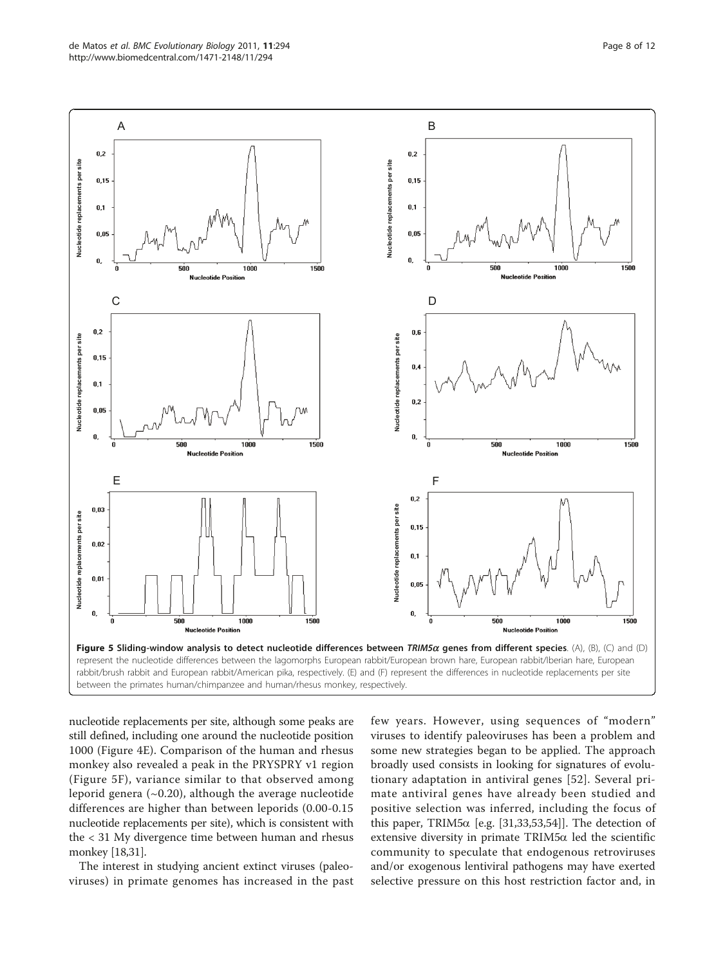<span id="page-7-0"></span>

nucleotide replacements per site, although some peaks are still defined, including one around the nucleotide position 1000 (Figure [4E](#page-5-0)). Comparison of the human and rhesus monkey also revealed a peak in the PRYSPRY v1 region (Figure 5F), variance similar to that observed among leporid genera  $(\sim 0.20)$ , although the average nucleotide differences are higher than between leporids (0.00-0.15 nucleotide replacements per site), which is consistent with the < 31 My divergence time between human and rhesus monkey [\[18,31](#page-10-0)].

The interest in studying ancient extinct viruses (paleoviruses) in primate genomes has increased in the past few years. However, using sequences of "modern" viruses to identify paleoviruses has been a problem and some new strategies began to be applied. The approach broadly used consists in looking for signatures of evolutionary adaptation in antiviral genes [[52](#page-10-0)]. Several primate antiviral genes have already been studied and positive selection was inferred, including the focus of this paper, TRIM5 $\alpha$  [e.g. [[31,33,53,54](#page-10-0)]]. The detection of extensive diversity in primate  $TRIM5\alpha$  led the scientific community to speculate that endogenous retroviruses and/or exogenous lentiviral pathogens may have exerted selective pressure on this host restriction factor and, in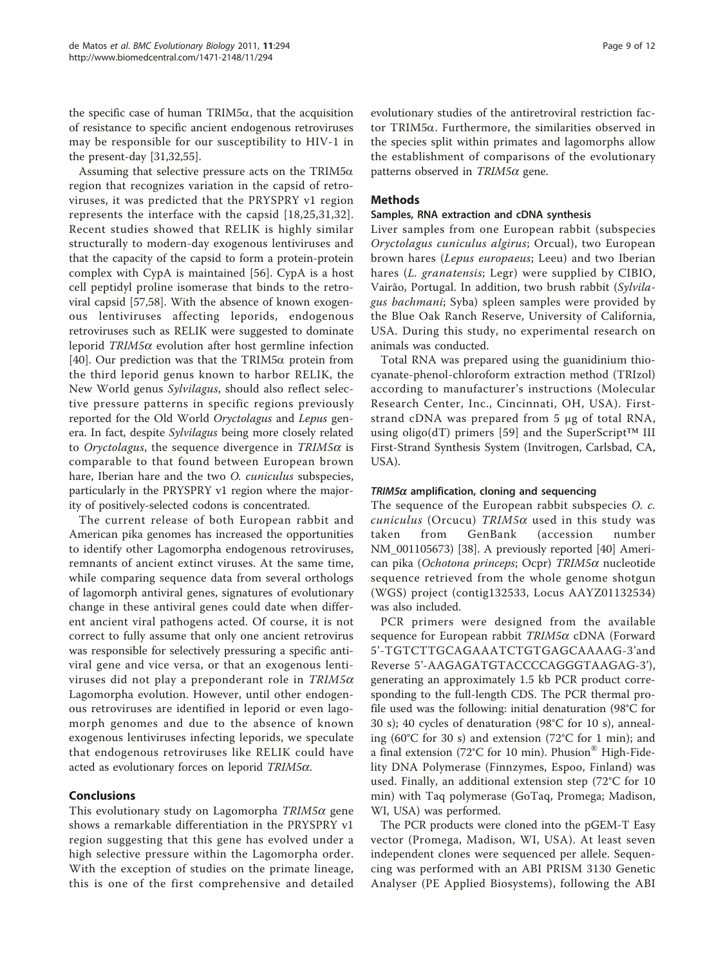the specific case of human TRIM5 $\alpha$ , that the acquisition of resistance to specific ancient endogenous retroviruses may be responsible for our susceptibility to HIV-1 in the present-day [[31,32,55](#page-10-0)].

Assuming that selective pressure acts on the TRIM5 $\alpha$ region that recognizes variation in the capsid of retroviruses, it was predicted that the PRYSPRY v1 region represents the interface with the capsid [[18,25,31](#page-10-0),[32](#page-10-0)]. Recent studies showed that RELIK is highly similar structurally to modern-day exogenous lentiviruses and that the capacity of the capsid to form a protein-protein complex with CypA is maintained [[56\]](#page-10-0). CypA is a host cell peptidyl proline isomerase that binds to the retroviral capsid [[57,58\]](#page-11-0). With the absence of known exogenous lentiviruses affecting leporids, endogenous retroviruses such as RELIK were suggested to dominate leporid  $TRIM5\alpha$  evolution after host germline infection [[40\]](#page-10-0). Our prediction was that the TRIM5 $\alpha$  protein from the third leporid genus known to harbor RELIK, the New World genus Sylvilagus, should also reflect selective pressure patterns in specific regions previously reported for the Old World Oryctolagus and Lepus genera. In fact, despite Sylvilagus being more closely related to Oryctolagus, the sequence divergence in TRIM5 $\alpha$  is comparable to that found between European brown hare, Iberian hare and the two *O. cuniculus* subspecies, particularly in the PRYSPRY v1 region where the majority of positively-selected codons is concentrated.

The current release of both European rabbit and American pika genomes has increased the opportunities to identify other Lagomorpha endogenous retroviruses, remnants of ancient extinct viruses. At the same time, while comparing sequence data from several orthologs of lagomorph antiviral genes, signatures of evolutionary change in these antiviral genes could date when different ancient viral pathogens acted. Of course, it is not correct to fully assume that only one ancient retrovirus was responsible for selectively pressuring a specific antiviral gene and vice versa, or that an exogenous lentiviruses did not play a preponderant role in  $TRIM5\alpha$ Lagomorpha evolution. However, until other endogenous retroviruses are identified in leporid or even lagomorph genomes and due to the absence of known exogenous lentiviruses infecting leporids, we speculate that endogenous retroviruses like RELIK could have acted as evolutionary forces on leporid  $TRIM5\alpha$ .

# Conclusions

This evolutionary study on Lagomorpha  $TRIM5\alpha$  gene shows a remarkable differentiation in the PRYSPRY v1 region suggesting that this gene has evolved under a high selective pressure within the Lagomorpha order. With the exception of studies on the primate lineage, this is one of the first comprehensive and detailed evolutionary studies of the antiretroviral restriction factor TRIM5a. Furthermore, the similarities observed in the species split within primates and lagomorphs allow the establishment of comparisons of the evolutionary patterns observed in  $TRIM5\alpha$  gene.

# Methods

#### Samples, RNA extraction and cDNA synthesis

Liver samples from one European rabbit (subspecies Oryctolagus cuniculus algirus; Orcual), two European brown hares (Lepus europaeus; Leeu) and two Iberian hares (L. granatensis; Legr) were supplied by CIBIO, Vairão, Portugal. In addition, two brush rabbit (Sylvilagus bachmani; Syba) spleen samples were provided by the Blue Oak Ranch Reserve, University of California, USA. During this study, no experimental research on animals was conducted.

Total RNA was prepared using the guanidinium thiocyanate-phenol-chloroform extraction method (TRIzol) according to manufacturer's instructions (Molecular Research Center, Inc., Cincinnati, OH, USA). Firststrand cDNA was prepared from 5 μg of total RNA, using oligo(dT) primers [[59](#page-11-0)] and the SuperScript<sup>TM</sup> III First-Strand Synthesis System (Invitrogen, Carlsbad, CA, USA).

# $TRIM5\alpha$  amplification, cloning and sequencing

The sequence of the European rabbit subspecies O. c. cuniculus (Orcucu) TRIM5 $\alpha$  used in this study was taken from GenBank (accession number [NM\\_001105673\)](http://www.ncbi.nih.gov/entrez/query.fcgi?db=Nucleotide&cmd=search&term=NM_001105673) [\[38](#page-10-0)]. A previously reported [\[40](#page-10-0)] American pika (Ochotona princeps; Ocpr)  $TRIM5\alpha$  nucleotide sequence retrieved from the whole genome shotgun (WGS) project (contig132533, Locus AAYZ01132534) was also included.

PCR primers were designed from the available sequence for European rabbit  $TRIM5\alpha$  cDNA (Forward 5'-TGTCTTGCAGAAATCTGTGAGCAAAAG-3'and Reverse 5'-AAGAGATGTACCCCAGGGTAAGAG-3'), generating an approximately 1.5 kb PCR product corresponding to the full-length CDS. The PCR thermal profile used was the following: initial denaturation (98°C for 30 s); 40 cycles of denaturation (98°C for 10 s), annealing (60°C for 30 s) and extension (72°C for 1 min); and a final extension (72°C for 10 min). Phusion® High-Fidelity DNA Polymerase (Finnzymes, Espoo, Finland) was used. Finally, an additional extension step (72°C for 10 min) with Taq polymerase (GoTaq, Promega; Madison, WI, USA) was performed.

The PCR products were cloned into the pGEM-T Easy vector (Promega, Madison, WI, USA). At least seven independent clones were sequenced per allele. Sequencing was performed with an ABI PRISM 3130 Genetic Analyser (PE Applied Biosystems), following the ABI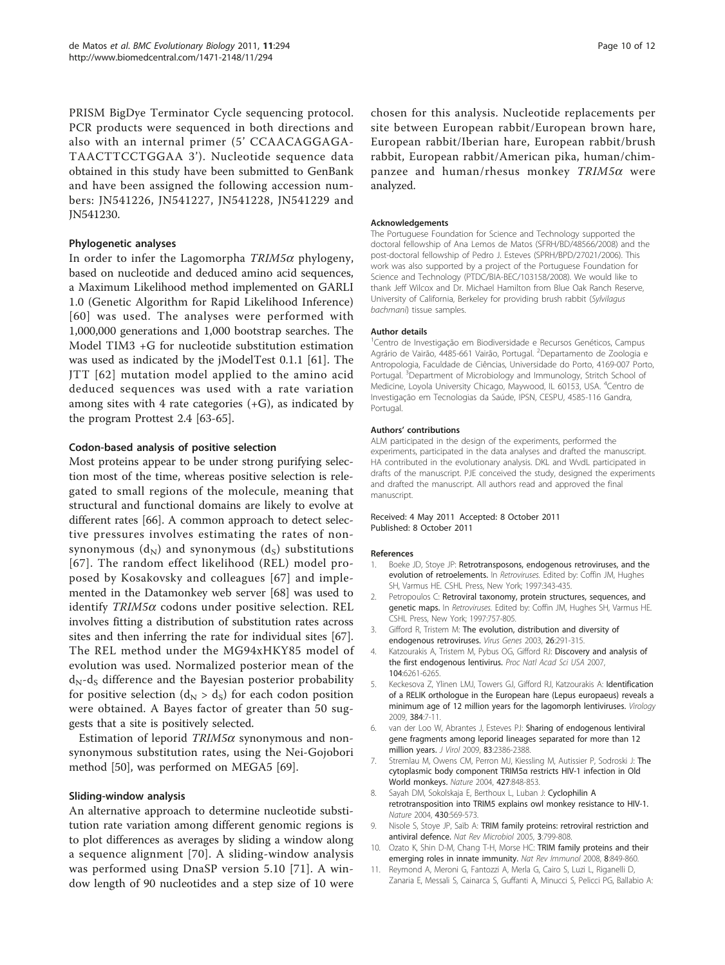<span id="page-9-0"></span>PRISM BigDye Terminator Cycle sequencing protocol. PCR products were sequenced in both directions and also with an internal primer (5' CCAACAGGAGA-TAACTTCCTGGAA 3'). Nucleotide sequence data obtained in this study have been submitted to GenBank and have been assigned the following accession numbers: [JN541226](http://www.ncbi.nih.gov/entrez/query.fcgi?db=Nucleotide&cmd=search&term=JN541226), [JN541227](http://www.ncbi.nih.gov/entrez/query.fcgi?db=Nucleotide&cmd=search&term=JN541227), [JN541228](http://www.ncbi.nih.gov/entrez/query.fcgi?db=Nucleotide&cmd=search&term=JN541228), [JN541229](http://www.ncbi.nih.gov/entrez/query.fcgi?db=Nucleotide&cmd=search&term=JN541229) and [JN541230](http://www.ncbi.nih.gov/entrez/query.fcgi?db=Nucleotide&cmd=search&term=JN541230).

#### Phylogenetic analyses

In order to infer the Lagomorpha  $TRIM5\alpha$  phylogeny, based on nucleotide and deduced amino acid sequences, a Maximum Likelihood method implemented on GARLI 1.0 (Genetic Algorithm for Rapid Likelihood Inference) [[60](#page-11-0)] was used. The analyses were performed with 1,000,000 generations and 1,000 bootstrap searches. The Model TIM3 +G for nucleotide substitution estimation was used as indicated by the jModelTest 0.1.1 [[61](#page-11-0)]. The JTT [[62\]](#page-11-0) mutation model applied to the amino acid deduced sequences was used with a rate variation among sites with 4 rate categories  $(+G)$ , as indicated by the program Prottest 2.4 [\[63-65](#page-11-0)].

#### Codon-based analysis of positive selection

Most proteins appear to be under strong purifying selection most of the time, whereas positive selection is relegated to small regions of the molecule, meaning that structural and functional domains are likely to evolve at different rates [[66\]](#page-11-0). A common approach to detect selective pressures involves estimating the rates of nonsynonymous  $(d_N)$  and synonymous  $(d_S)$  substitutions [[67\]](#page-11-0). The random effect likelihood (REL) model proposed by Kosakovsky and colleagues [[67\]](#page-11-0) and implemented in the Datamonkey web server [\[68\]](#page-11-0) was used to identify  $TRIM5\alpha$  codons under positive selection. REL involves fitting a distribution of substitution rates across sites and then inferring the rate for individual sites [\[67](#page-11-0)]. The REL method under the MG94xHKY85 model of evolution was used. Normalized posterior mean of the  $d_N - d_S$  difference and the Bayesian posterior probability for positive selection  $(d_N > d_S)$  for each codon position were obtained. A Bayes factor of greater than 50 suggests that a site is positively selected.

Estimation of leporid  $TRIM5\alpha$  synonymous and nonsynonymous substitution rates, using the Nei-Gojobori method [\[50](#page-10-0)], was performed on MEGA5 [\[69](#page-11-0)].

#### Sliding-window analysis

An alternative approach to determine nucleotide substitution rate variation among different genomic regions is to plot differences as averages by sliding a window along a sequence alignment [[70](#page-11-0)]. A sliding-window analysis was performed using DnaSP version 5.10 [\[71\]](#page-11-0). A window length of 90 nucleotides and a step size of 10 were chosen for this analysis. Nucleotide replacements per site between European rabbit/European brown hare, European rabbit/Iberian hare, European rabbit/brush rabbit, European rabbit/American pika, human/chimpanzee and human/rhesus monkey  $TRIM5\alpha$  were analyzed.

#### Acknowledgements

The Portuguese Foundation for Science and Technology supported the doctoral fellowship of Ana Lemos de Matos (SFRH/BD/48566/2008) and the post-doctoral fellowship of Pedro J. Esteves (SPRH/BPD/27021/2006). This work was also supported by a project of the Portuguese Foundation for Science and Technology (PTDC/BIA-BEC/103158/2008). We would like to thank Jeff Wilcox and Dr. Michael Hamilton from Blue Oak Ranch Reserve, University of California, Berkeley for providing brush rabbit (Sylvilagus bachmani) tissue samples.

#### Author details

<sup>1</sup> Centro de Investigação em Biodiversidade e Recursos Genéticos, Campus Agrário de Vairão, 4485-661 Vairão, Portugal. <sup>2</sup>Departamento de Zoologia e Antropologia, Faculdade de Ciências, Universidade do Porto, 4169-007 Porto, Portugal. <sup>3</sup>Department of Microbiology and Immunology, Stritch School of Medicine, Loyola University Chicago, Maywood, IL 60153, USA. <sup>4</sup>Centro de Investigação em Tecnologias da Saúde, IPSN, CESPU, 4585-116 Gandra, Portugal.

#### Authors' contributions

ALM participated in the design of the experiments, performed the experiments, participated in the data analyses and drafted the manuscript. HA contributed in the evolutionary analysis. DKL and WvdL participated in drafts of the manuscript. PJE conceived the study, designed the experiments and drafted the manuscript. All authors read and approved the final manuscript.

#### Received: 4 May 2011 Accepted: 8 October 2011 Published: 8 October 2011

#### References

- Boeke JD, Stoye JP: Retrotransposons, endogenous retroviruses, and the evolution of retroelements. In Retroviruses. Edited by: Coffin JM, Hughes SH, Varmus HE. CSHL Press, New York; 1997:343-435.
- 2. Petropoulos C: Retroviral taxonomy, protein structures, sequences, and genetic maps. In Retroviruses. Edited by: Coffin JM, Hughes SH, Varmus HE. CSHL Press, New York; 1997:757-805.
- 3. Gifford R, Tristem M: [The evolution, distribution and diversity of](http://www.ncbi.nlm.nih.gov/pubmed/12876457?dopt=Abstract) [endogenous retroviruses.](http://www.ncbi.nlm.nih.gov/pubmed/12876457?dopt=Abstract) Virus Genes 2003, 26:291-315.
- 4. Katzourakis A, Tristem M, Pybus OG, Gifford RJ: [Discovery and analysis of](http://www.ncbi.nlm.nih.gov/pubmed/17384150?dopt=Abstract) [the first endogenous lentivirus.](http://www.ncbi.nlm.nih.gov/pubmed/17384150?dopt=Abstract) Proc Natl Acad Sci USA 2007, 104:6261-6265.
- 5. Keckesova Z, Ylinen LMJ, Towers GJ, Gifford RJ, Katzourakis A: [Identification](http://www.ncbi.nlm.nih.gov/pubmed/19070882?dopt=Abstract) [of a RELIK orthologue in the European hare \(Lepus europaeus\) reveals a](http://www.ncbi.nlm.nih.gov/pubmed/19070882?dopt=Abstract) [minimum age of 12 million years for the lagomorph lentiviruses.](http://www.ncbi.nlm.nih.gov/pubmed/19070882?dopt=Abstract) Virology 2009, 384:7-11.
- 6. van der Loo W, Abrantes J, Esteves PJ: [Sharing of endogenous lentiviral](http://www.ncbi.nlm.nih.gov/pubmed/19109386?dopt=Abstract) [gene fragments among leporid lineages separated for more than 12](http://www.ncbi.nlm.nih.gov/pubmed/19109386?dopt=Abstract) [million years.](http://www.ncbi.nlm.nih.gov/pubmed/19109386?dopt=Abstract) J Virol 2009, 83:2386-2388.
- 7. Stremlau M, Owens CM, Perron MJ, Kiessling M, Autissier P, Sodroski J: [The](http://www.ncbi.nlm.nih.gov/pubmed/14985764?dopt=Abstract) [cytoplasmic body component TRIM5](http://www.ncbi.nlm.nih.gov/pubmed/14985764?dopt=Abstract)α restricts HIV-1 infection in Old [World monkeys.](http://www.ncbi.nlm.nih.gov/pubmed/14985764?dopt=Abstract) Nature 2004, 427:848-853.
- 8. Sayah DM, Sokolskaja E, Berthoux L, Luban J: [Cyclophilin A](http://www.ncbi.nlm.nih.gov/pubmed/15243629?dopt=Abstract) [retrotransposition into TRIM5 explains owl monkey resistance to HIV-1.](http://www.ncbi.nlm.nih.gov/pubmed/15243629?dopt=Abstract) Nature 2004, 430:569-573.
- 9. Nisole S, Stoye JP, Saïb A: [TRIM family proteins: retroviral restriction and](http://www.ncbi.nlm.nih.gov/pubmed/16175175?dopt=Abstract) [antiviral defence.](http://www.ncbi.nlm.nih.gov/pubmed/16175175?dopt=Abstract) Nat Rev Microbiol 2005, 3:799-808.
- 10. Ozato K, Shin D-M, Chang T-H, Morse HC: [TRIM family proteins and their](http://www.ncbi.nlm.nih.gov/pubmed/18836477?dopt=Abstract) [emerging roles in innate immunity.](http://www.ncbi.nlm.nih.gov/pubmed/18836477?dopt=Abstract) Nat Rev Immunol 2008, 8:849-860.
- 11. Reymond A, Meroni G, Fantozzi A, Merla G, Cairo S, Luzi L, Riganelli D, Zanaria E, Messali S, Cainarca S, Guffanti A, Minucci S, Pelicci PG, Ballabio A: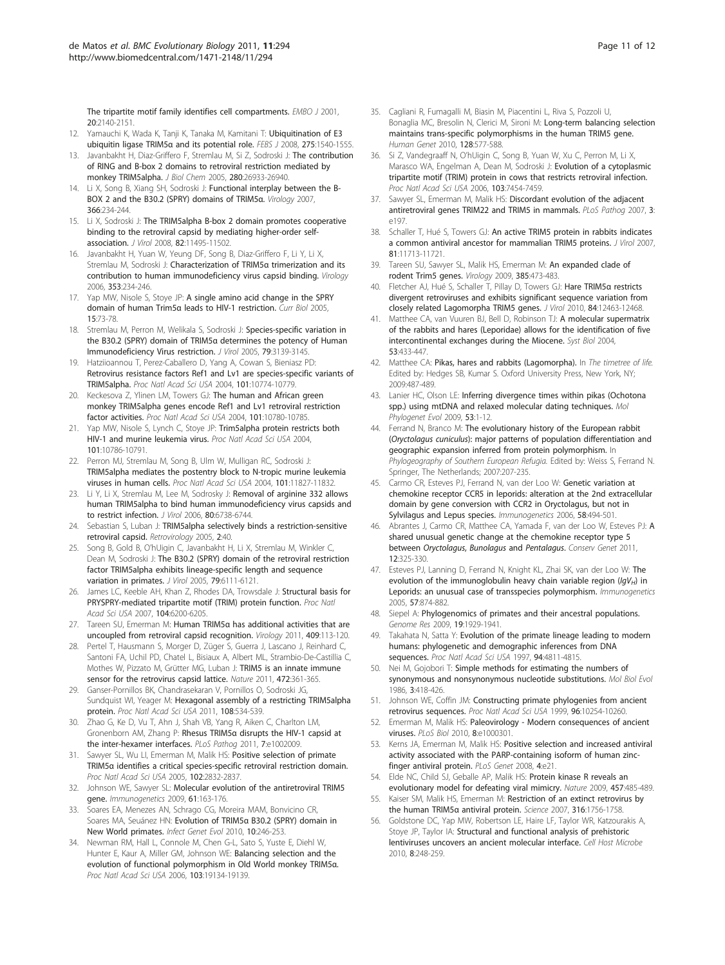<span id="page-10-0"></span>[The tripartite motif family identifies cell compartments.](http://www.ncbi.nlm.nih.gov/pubmed/11331580?dopt=Abstract) EMBO J 2001. 20:2140-2151.

- 12. Yamauchi K, Wada K, Tanji K, Tanaka M, Kamitani T: [Ubiquitination of E3](http://www.ncbi.nlm.nih.gov/pubmed/18312418?dopt=Abstract) [ubiquitin ligase TRIM5](http://www.ncbi.nlm.nih.gov/pubmed/18312418?dopt=Abstract)α and its potential role. FEBS J 2008, 275:1540-1555.
- 13. Javanbakht H, Diaz-Griffero F, Stremlau M, Si Z, Sodroski J: [The contribution](http://www.ncbi.nlm.nih.gov/pubmed/15897199?dopt=Abstract) [of RING and B-box 2 domains to retroviral restriction mediated by](http://www.ncbi.nlm.nih.gov/pubmed/15897199?dopt=Abstract) [monkey TRIM5alpha.](http://www.ncbi.nlm.nih.gov/pubmed/15897199?dopt=Abstract) J Biol Chem 2005, 280:26933-26940.
- 14. Li X, Song B, Xiang SH, Sodroski J: [Functional interplay between the B-](http://www.ncbi.nlm.nih.gov/pubmed/17543365?dopt=Abstract)[BOX 2 and the B30.2 \(SPRY\) domains of TRIM5](http://www.ncbi.nlm.nih.gov/pubmed/17543365?dopt=Abstract)α. Virology 2007, 366:234-244.
- 15. Li X, Sodroski J: [The TRIM5alpha B-box 2 domain promotes cooperative](http://www.ncbi.nlm.nih.gov/pubmed/18799578?dopt=Abstract) [binding to the retroviral capsid by mediating higher-order self](http://www.ncbi.nlm.nih.gov/pubmed/18799578?dopt=Abstract)[association.](http://www.ncbi.nlm.nih.gov/pubmed/18799578?dopt=Abstract) J Virol 2008, 82:11495-11502.
- 16. Javanbakht H, Yuan W, Yeung DF, Song B, Diaz-Griffero F, Li Y, Li X, Stremlau M, Sodroski J: [Characterization of TRIM5](http://www.ncbi.nlm.nih.gov/pubmed/16808955?dopt=Abstract)α trimerization and its [contribution to human immunodeficiency virus capsid binding.](http://www.ncbi.nlm.nih.gov/pubmed/16808955?dopt=Abstract) Virology 2006, 353:234-246.
- 17. Yap MW, Nisole S, Stoye JP: [A single amino acid change in the SPRY](http://www.ncbi.nlm.nih.gov/pubmed/15649369?dopt=Abstract) domain of human Trim5α [leads to HIV-1 restriction.](http://www.ncbi.nlm.nih.gov/pubmed/15649369?dopt=Abstract) Curr Biol 2005, 15:73-78.
- 18. Stremlau M, Perron M, Welikala S, Sodroski J: [Species-specific variation in](http://www.ncbi.nlm.nih.gov/pubmed/15709033?dopt=Abstract) the B30.2 (SPRY) domain of TRIM5α [determines the potency of Human](http://www.ncbi.nlm.nih.gov/pubmed/15709033?dopt=Abstract) [Immunodeficiency Virus restriction.](http://www.ncbi.nlm.nih.gov/pubmed/15709033?dopt=Abstract) J Virol 2005, 79:3139-3145.
- 19. Hatziioannou T, Perez-Caballero D, Yang A, Cowan S, Bieniasz PD: [Retrovirus resistance factors Ref1 and Lv1 are species-specific variants of](http://www.ncbi.nlm.nih.gov/pubmed/15249685?dopt=Abstract) [TRIM5alpha.](http://www.ncbi.nlm.nih.gov/pubmed/15249685?dopt=Abstract) Proc Natl Acad Sci USA 2004, 101:10774-10779.
- 20. Keckesova Z, Ylinen LM, Towers GJ: [The human and African green](http://www.ncbi.nlm.nih.gov/pubmed/15249687?dopt=Abstract) [monkey TRIM5alpha genes encode Ref1 and Lv1 retroviral restriction](http://www.ncbi.nlm.nih.gov/pubmed/15249687?dopt=Abstract) [factor activities.](http://www.ncbi.nlm.nih.gov/pubmed/15249687?dopt=Abstract) Proc Natl Acad Sci USA 2004, 101:10780-10785.
- 21. Yap MW, Nisole S, Lynch C, Stoye JP: [Trim5alpha protein restricts both](http://www.ncbi.nlm.nih.gov/pubmed/15249690?dopt=Abstract) [HIV-1 and murine leukemia virus.](http://www.ncbi.nlm.nih.gov/pubmed/15249690?dopt=Abstract) Proc Natl Acad Sci USA 2004, 101:10786-10791.
- 22. Perron MJ, Stremlau M, Song B, Ulm W, Mulligan RC, Sodroski J: [TRIM5alpha mediates the postentry block to N-tropic murine leukemia](http://www.ncbi.nlm.nih.gov/pubmed/15280539?dopt=Abstract) [viruses in human cells.](http://www.ncbi.nlm.nih.gov/pubmed/15280539?dopt=Abstract) Proc Natl Acad Sci USA 2004, 101:11827-11832.
- 23. Li Y, Li X, Stremlau M, Lee M, Sodrosky J: [Removal of arginine 332 allows](http://www.ncbi.nlm.nih.gov/pubmed/16809279?dopt=Abstract) [human TRIM5alpha to bind human immunodeficiency virus capsids and](http://www.ncbi.nlm.nih.gov/pubmed/16809279?dopt=Abstract) [to restrict infection.](http://www.ncbi.nlm.nih.gov/pubmed/16809279?dopt=Abstract) J Virol 2006, 80:6738-6744.
- 24. Sebastian S, Luban J: [TRIM5alpha selectively binds a restriction-sensitive](http://www.ncbi.nlm.nih.gov/pubmed/15967037?dopt=Abstract) [retroviral capsid.](http://www.ncbi.nlm.nih.gov/pubmed/15967037?dopt=Abstract) Retrovirology 2005, 2:40.
- 25. Song B, Gold B, O'hUigin C, Javanbakht H, Li X, Stremlau M, Winkler C, Dean M, Sodroski J: [The B30.2 \(SPRY\) domain of the retroviral restriction](http://www.ncbi.nlm.nih.gov/pubmed/15857996?dopt=Abstract) [factor TRIM5alpha exhibits lineage-specific length and sequence](http://www.ncbi.nlm.nih.gov/pubmed/15857996?dopt=Abstract) [variation in primates.](http://www.ncbi.nlm.nih.gov/pubmed/15857996?dopt=Abstract) J Virol 2005, 79:6111-6121.
- 26. James LC, Keeble AH, Khan Z, Rhodes DA, Trowsdale J: [Structural basis for](http://www.ncbi.nlm.nih.gov/pubmed/17400754?dopt=Abstract) [PRYSPRY-mediated tripartite motif \(TRIM\) protein function.](http://www.ncbi.nlm.nih.gov/pubmed/17400754?dopt=Abstract) Proc Natl Acad Sci USA 2007, 104:6200-6205.
- 27. Tareen SU, Emerman M: Human TRIM5α [has additional activities that are](http://www.ncbi.nlm.nih.gov/pubmed/21035162?dopt=Abstract) [uncoupled from retroviral capsid recognition.](http://www.ncbi.nlm.nih.gov/pubmed/21035162?dopt=Abstract) Virology 2011, 409:113-120.
- 28. Pertel T, Hausmann S, Morger D, Züger S, Guerra J, Lascano J, Reinhard C, Santoni FA, Uchil PD, Chatel L, Bisiaux A, Albert ML, Strambio-De-Castillia C, Mothes W, Pizzato M, Grütter MG, Luban J: [TRIM5 is an innate immune](http://www.ncbi.nlm.nih.gov/pubmed/21512573?dopt=Abstract) [sensor for the retrovirus capsid lattice.](http://www.ncbi.nlm.nih.gov/pubmed/21512573?dopt=Abstract) Nature 2011, 472:361-365.
- 29. Ganser-Pornillos BK, Chandrasekaran V, Pornillos O, Sodroski JG, Sundquist WI, Yeager M: [Hexagonal assembly of a restricting TRIM5alpha](http://www.ncbi.nlm.nih.gov/pubmed/21187419?dopt=Abstract) [protein.](http://www.ncbi.nlm.nih.gov/pubmed/21187419?dopt=Abstract) Proc Natl Acad Sci USA 2011, 108:534-539.
- 30. Zhao G, Ke D, Vu T, Ahn J, Shah VB, Yang R, Aiken C, Charlton LM, Gronenborn AM, Zhang P: Rhesus TRIM5α [disrupts the HIV-1 capsid at](http://www.ncbi.nlm.nih.gov/pubmed/21455494?dopt=Abstract) [the inter-hexamer interfaces.](http://www.ncbi.nlm.nih.gov/pubmed/21455494?dopt=Abstract) PLoS Pathog 2011, 7:e1002009.
- 31. Sawyer SL, Wu LI, Emerman M, Malik HS: [Positive selection of primate](http://www.ncbi.nlm.nih.gov/pubmed/15689398?dopt=Abstract) TRIM5α [identifies a critical species-specific retroviral restriction domain.](http://www.ncbi.nlm.nih.gov/pubmed/15689398?dopt=Abstract) Proc Natl Acad Sci USA 2005, 102:2832-2837.
- 32. Johnson WE, Sawyer SL: [Molecular evolution of the antiretroviral TRIM5](http://www.ncbi.nlm.nih.gov/pubmed/19238338?dopt=Abstract) [gene.](http://www.ncbi.nlm.nih.gov/pubmed/19238338?dopt=Abstract) Immunogenetics 2009, 61:163-176.
- 33. Soares EA, Menezes AN, Schrago CG, Moreira MAM, Bonvicino CR, Soares MA, Seuánez HN: Evolution of TRIM5α [B30.2 \(SPRY\) domain in](http://www.ncbi.nlm.nih.gov/pubmed/19931648?dopt=Abstract) [New World primates.](http://www.ncbi.nlm.nih.gov/pubmed/19931648?dopt=Abstract) Infect Genet Evol 2010, 10:246-253.
- 34. Newman RM, Hall L, Connole M, Chen G-L, Sato S, Yuste E, Diehl W, Hunter E, Kaur A, Miller GM, Johnson WE: [Balancing selection and the](http://www.ncbi.nlm.nih.gov/pubmed/17142324?dopt=Abstract) [evolution of functional polymorphism in Old World monkey TRIM5](http://www.ncbi.nlm.nih.gov/pubmed/17142324?dopt=Abstract)α. Proc Natl Acad Sci USA 2006, 103:19134-19139.
- 35. Cagliani R, Fumagalli M, Biasin M, Piacentini L, Riva S, Pozzoli U, Bonaglia MC, Bresolin N, Clerici M, Sironi M: Long-term balancing selection maintains trans-specific polymorphisms in the human TRIM5 gene. Human Genet 2010, 128:577-588.
- 36. Si Z, Vandegraaff N, O'hUigin C, Song B, Yuan W, Xu C, Perron M, Li X, Marasco WA, Engelman A, Dean M, Sodroski J: [Evolution of a cytoplasmic](http://www.ncbi.nlm.nih.gov/pubmed/16648259?dopt=Abstract) [tripartite motif \(TRIM\) protein in cows that restricts retroviral infection.](http://www.ncbi.nlm.nih.gov/pubmed/16648259?dopt=Abstract) Proc Natl Acad Sci USA 2006, 103:7454-7459.
- 37. Sawyer SL, Emerman M, Malik HS: [Discordant evolution of the adjacent](http://www.ncbi.nlm.nih.gov/pubmed/18159944?dopt=Abstract) [antiretroviral genes TRIM22 and TRIM5 in mammals.](http://www.ncbi.nlm.nih.gov/pubmed/18159944?dopt=Abstract) PLoS Pathog 2007, 3: e197.
- 38. Schaller T, Hué S, Towers GJ: [An active TRIM5 protein in rabbits indicates](http://www.ncbi.nlm.nih.gov/pubmed/17728224?dopt=Abstract) [a common antiviral ancestor for mammalian TRIM5 proteins.](http://www.ncbi.nlm.nih.gov/pubmed/17728224?dopt=Abstract) J Virol 2007, 81:11713-11721.
- 39. Tareen SU, Sawyer SL, Malik HS, Emerman M: [An expanded clade of](http://www.ncbi.nlm.nih.gov/pubmed/19147168?dopt=Abstract) [rodent Trim5 genes.](http://www.ncbi.nlm.nih.gov/pubmed/19147168?dopt=Abstract) Virology 2009, 385:473-483.
- 40. Fletcher AJ, Hué S, Schaller T, Pillay D, Towers GJ: [Hare TRIM5](http://www.ncbi.nlm.nih.gov/pubmed/20861252?dopt=Abstract)α restricts [divergent retroviruses and exhibits significant sequence variation from](http://www.ncbi.nlm.nih.gov/pubmed/20861252?dopt=Abstract) [closely related Lagomorpha TRIM5 genes.](http://www.ncbi.nlm.nih.gov/pubmed/20861252?dopt=Abstract) J Virol 2010, 84:12463-12468.
- 41. Matthee CA, van Vuuren BJ, Bell D, Robinson TJ: [A molecular supermatrix](http://www.ncbi.nlm.nih.gov/pubmed/15503672?dopt=Abstract) [of the rabbits and hares \(Leporidae\) allows for the identification of five](http://www.ncbi.nlm.nih.gov/pubmed/15503672?dopt=Abstract) [intercontinental exchanges during the Miocene.](http://www.ncbi.nlm.nih.gov/pubmed/15503672?dopt=Abstract) Syst Biol 2004, 53:433-447.
- 42. Matthee CA: Pikas, hares and rabbits (Lagomorpha). In The timetree of life. Edited by: Hedges SB, Kumar S. Oxford University Press, New York, NY; 2009:487-489.
- 43. Lanier HC, Olson LE: [Inferring divergence times within pikas \(Ochotona](http://www.ncbi.nlm.nih.gov/pubmed/19501176?dopt=Abstract) [spp.\) using mtDNA and relaxed molecular dating techniques.](http://www.ncbi.nlm.nih.gov/pubmed/19501176?dopt=Abstract) Mol Phylogenet Evol 2009, 53:1-12.
- 44. Ferrand N, Branco M: The evolutionary history of the European rabbit (Oryctolagus cuniculus): major patterns of population differentiation and geographic expansion inferred from protein polymorphism. In Phylogeography of Southern European Refugia. Edited by: Weiss S, Ferrand N. Springer, The Netherlands; 2007:207-235.
- Carmo CR, Esteves PJ, Ferrand N, van der Loo W: [Genetic variation at](http://www.ncbi.nlm.nih.gov/pubmed/16596402?dopt=Abstract) [chemokine receptor CCR5 in leporids: alteration at the 2nd extracellular](http://www.ncbi.nlm.nih.gov/pubmed/16596402?dopt=Abstract) [domain by gene conversion with CCR2 in Oryctolagus, but not in](http://www.ncbi.nlm.nih.gov/pubmed/16596402?dopt=Abstract) [Sylvilagus and Lepus species.](http://www.ncbi.nlm.nih.gov/pubmed/16596402?dopt=Abstract) Immunogenetics 2006, 58:494-501.
- 46. Abrantes J, Carmo CR, Matthee CA, Yamada F, van der Loo W, Esteves PJ: A shared unusual genetic change at the chemokine receptor type 5 between Oryctolagus, Bunolagus and Pentalagus. Conserv Genet 2011, 12:325-330.
- 47. Esteves PJ, Lanning D, Ferrand N, Knight KL, Zhai SK, van der Loo W: [The](http://www.ncbi.nlm.nih.gov/pubmed/16247606?dopt=Abstract) [evolution of the immunoglobulin heavy chain variable region \(](http://www.ncbi.nlm.nih.gov/pubmed/16247606?dopt=Abstract) $lgV_H$ [\) in](http://www.ncbi.nlm.nih.gov/pubmed/16247606?dopt=Abstract) [Leporids: an unusual case of transspecies polymorphism.](http://www.ncbi.nlm.nih.gov/pubmed/16247606?dopt=Abstract) Immunogenetics 2005, 57:874-882.
- 48. Siepel A: [Phylogenomics of primates and their ancestral populations.](http://www.ncbi.nlm.nih.gov/pubmed/19801602?dopt=Abstract) Genome Res 2009, 19:1929-1941.
- 49. Takahata N, Satta Y: [Evolution of the primate lineage leading to modern](http://www.ncbi.nlm.nih.gov/pubmed/9114074?dopt=Abstract) [humans: phylogenetic and demographic inferences from DNA](http://www.ncbi.nlm.nih.gov/pubmed/9114074?dopt=Abstract) [sequences.](http://www.ncbi.nlm.nih.gov/pubmed/9114074?dopt=Abstract) Proc Natl Acad Sci USA 1997, 94:4811-4815.
- 50. Nei M, Gojobori T: [Simple methods for estimating the numbers of](http://www.ncbi.nlm.nih.gov/pubmed/3444411?dopt=Abstract) [synonymous and nonsynonymous nucleotide substitutions.](http://www.ncbi.nlm.nih.gov/pubmed/3444411?dopt=Abstract) Mol Biol Evol 1986, 3:418-426.
- 51. Johnson WE, Coffin JM: [Constructing primate phylogenies from ancient](http://www.ncbi.nlm.nih.gov/pubmed/10468595?dopt=Abstract) [retrovirus sequences.](http://www.ncbi.nlm.nih.gov/pubmed/10468595?dopt=Abstract) Proc Natl Acad Sci USA 1999, 96:10254-10260.
- 52. Emerman M, Malik HS: [Paleovirology Modern consequences of ancient](http://www.ncbi.nlm.nih.gov/pubmed/20161719?dopt=Abstract) [viruses.](http://www.ncbi.nlm.nih.gov/pubmed/20161719?dopt=Abstract) PLoS Biol 2010, 8:e1000301.
- 53. Kerns JA, Emerman M, Malik HS: [Positive selection and increased antiviral](http://www.ncbi.nlm.nih.gov/pubmed/18225958?dopt=Abstract) [activity associated with the PARP-containing isoform of human zinc](http://www.ncbi.nlm.nih.gov/pubmed/18225958?dopt=Abstract)[finger antiviral protein.](http://www.ncbi.nlm.nih.gov/pubmed/18225958?dopt=Abstract) PLoS Genet 2008, 4:e21.
- 54. Elde NC, Child SJ, Geballe AP, Malik HS: [Protein kinase R reveals an](http://www.ncbi.nlm.nih.gov/pubmed/19043403?dopt=Abstract) [evolutionary model for defeating viral mimicry.](http://www.ncbi.nlm.nih.gov/pubmed/19043403?dopt=Abstract) Nature 2009, 457:485-489.
- 55. Kaiser SM, Malik HS, Emerman M: [Restriction of an extinct retrovirus by](http://www.ncbi.nlm.nih.gov/pubmed/17588933?dopt=Abstract) [the human TRIM5](http://www.ncbi.nlm.nih.gov/pubmed/17588933?dopt=Abstract)α antiviral protein. Science 2007, 316:1756-1758.
- 56. Goldstone DC, Yap MW, Robertson LE, Haire LF, Taylor WR, Katzourakis A, Stoye JP, Taylor IA: [Structural and functional analysis of prehistoric](http://www.ncbi.nlm.nih.gov/pubmed/20833376?dopt=Abstract) [lentiviruses uncovers an ancient molecular interface.](http://www.ncbi.nlm.nih.gov/pubmed/20833376?dopt=Abstract) Cell Host Microbe 2010, 8:248-259.